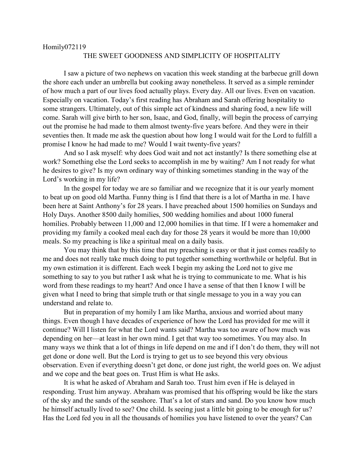## Homily072119

## THE SWEET GOODNESS AND SIMPLICITY OF HOSPITALITY

I saw a picture of two nephews on vacation this week standing at the barbecue grill down the shore each under an umbrella but cooking away nonetheless. It served as a simple reminder of how much a part of our lives food actually plays. Every day. All our lives. Even on vacation. Especially on vacation. Today's first reading has Abraham and Sarah offering hospitality to some strangers. Ultimately, out of this simple act of kindness and sharing food, a new life will come. Sarah will give birth to her son, Isaac, and God, finally, will begin the process of carrying out the promise he had made to them almost twenty-five years before. And they were in their seventies then. It made me ask the question about how long I would wait for the Lord to fulfill a promise I know he had made to me? Would I wait twenty-five years?

And so I ask myself: why does God wait and not act instantly? Is there something else at work? Something else the Lord seeks to accomplish in me by waiting? Am I not ready for what he desires to give? Is my own ordinary way of thinking sometimes standing in the way of the Lord's working in my life?

In the gospel for today we are so familiar and we recognize that it is our yearly moment to beat up on good old Martha. Funny thing is I find that there is a lot of Martha in me. I have been here at Saint Anthony's for 28 years. I have preached about 1500 homilies on Sundays and Holy Days. Another 8500 daily homilies, 500 wedding homilies and about 1000 funeral homilies. Probably between 11,000 and 12,000 homilies in that time. If I were a homemaker and providing my family a cooked meal each day for those 28 years it would be more than 10,000 meals. So my preaching is like a spiritual meal on a daily basis.

You may think that by this time that my preaching is easy or that it just comes readily to me and does not really take much doing to put together something worthwhile or helpful. But in my own estimation it is different. Each week I begin my asking the Lord not to give me something to say to you but rather I ask what he is trying to communicate to me. What is his word from these readings to my heart? And once I have a sense of that then I know I will be given what I need to bring that simple truth or that single message to you in a way you can understand and relate to.

But in preparation of my homily I am like Martha, anxious and worried about many things. Even though I have decades of experience of how the Lord has provided for me will it continue? Will I listen for what the Lord wants said? Martha was too aware of how much was depending on her—at least in her own mind. I get that way too sometimes. You may also. In many ways we think that a lot of things in life depend on me and if I don't do them, they will not get done or done well. But the Lord is trying to get us to see beyond this very obvious observation. Even if everything doesn't get done, or done just right, the world goes on. We adjust and we cope and the beat goes on. Trust Him is what He asks.

It is what he asked of Abraham and Sarah too. Trust him even if He is delayed in responding. Trust him anyway. Abraham was promised that his offspring would be like the stars of the sky and the sands of the seashore. That's a lot of stars and sand. Do you know how much he himself actually lived to see? One child. Is seeing just a little bit going to be enough for us? Has the Lord fed you in all the thousands of homilies you have listened to over the years? Can